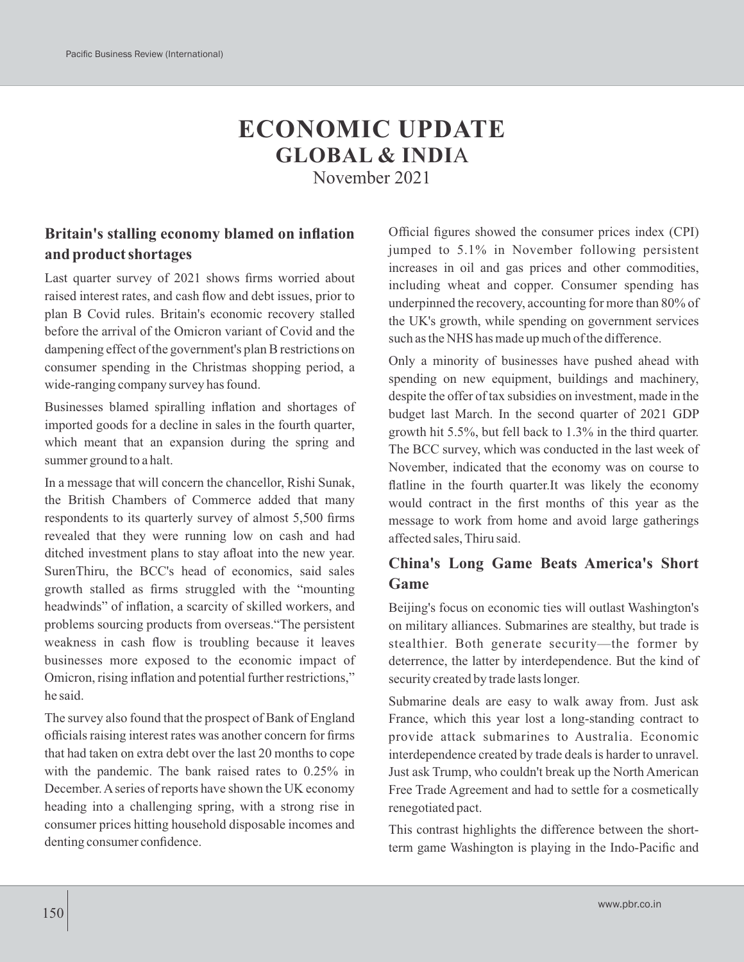# **ECONOMIC UPDATE GLOBAL & INDI**A

November 2021

## **Britain's stalling economy blamed on inflation and product shortages**

Last quarter survey of 2021 shows firms worried about raised interest rates, and cash flow and debt issues, prior to plan B Covid rules. Britain's economic recovery stalled before the arrival of the Omicron variant of Covid and the dampening effect of the government's plan B restrictions on consumer spending in the Christmas shopping period, a wide-ranging company survey has found.

Businesses blamed spiralling inflation and shortages of imported goods for a decline in sales in the fourth quarter, which meant that an expansion during the spring and summer ground to a halt.

In a message that will concern the chancellor, Rishi Sunak, the British Chambers of Commerce added that many respondents to its quarterly survey of almost 5,500 firms revealed that they were running low on cash and had ditched investment plans to stay afloat into the new year. SurenThiru, the BCC's head of economics, said sales growth stalled as firms struggled with the "mounting headwinds" of inflation, a scarcity of skilled workers, and problems sourcing products from overseas."The persistent weakness in cash flow is troubling because it leaves businesses more exposed to the economic impact of Omicron, rising inflation and potential further restrictions," he said.

The survey also found that the prospect of Bank of England officials raising interest rates was another concern for firms that had taken on extra debt over the last 20 months to cope with the pandemic. The bank raised rates to 0.25% in December. Aseries of reports have shown the UK economy heading into a challenging spring, with a strong rise in consumer prices hitting household disposable incomes and denting consumer confidence.

Official figures showed the consumer prices index (CPI) jumped to 5.1% in November following persistent increases in oil and gas prices and other commodities, including wheat and copper. Consumer spending has underpinned the recovery, accounting for more than 80% of the UK's growth, while spending on government services such as the NHS has made up much of the difference.

Only a minority of businesses have pushed ahead with spending on new equipment, buildings and machinery, despite the offer of tax subsidies on investment, made in the budget last March. In the second quarter of 2021 GDP growth hit 5.5%, but fell back to 1.3% in the third quarter. The BCC survey, which was conducted in the last week of November, indicated that the economy was on course to flatline in the fourth quarter.It was likely the economy would contract in the first months of this year as the message to work from home and avoid large gatherings affected sales, Thiru said.

## **China's Long Game Beats America's Short Game**

Beijing's focus on economic ties will outlast Washington's on military alliances. Submarines are stealthy, but trade is stealthier. Both generate security—the former by deterrence, the latter by interdependence. But the kind of security created by trade lasts longer.

Submarine deals are easy to walk away from. Just ask France, which this year lost a long-standing contract to provide attack submarines to Australia. Economic interdependence created by trade deals is harder to unravel. Just ask Trump, who couldn't break up the North American Free Trade Agreement and had to settle for a cosmetically renegotiated pact.

This contrast highlights the difference between the shortterm game Washington is playing in the Indo-Pacific and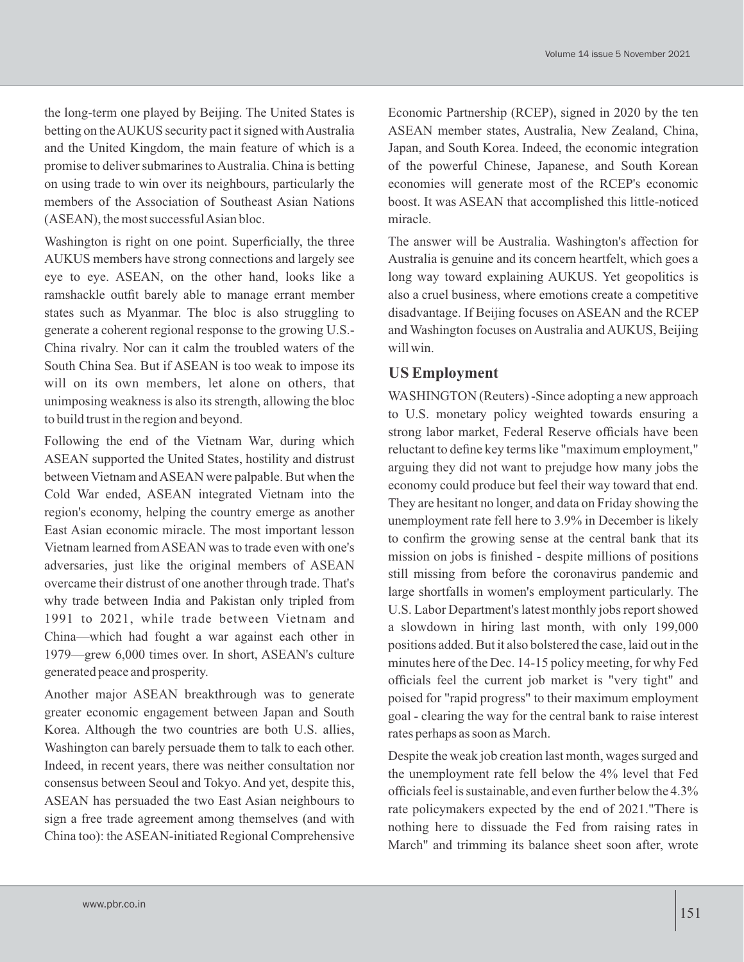the long-term one played by Beijing. The United States is betting on the AUKUS security pact it signed with Australia and the United Kingdom, the main feature of which is a promise to deliver submarines to Australia. China is betting on using trade to win over its neighbours, particularly the members of the Association of Southeast Asian Nations (ASEAN), the most successful Asian bloc.

Washington is right on one point. Superficially, the three AUKUS members have strong connections and largely see eye to eye. ASEAN, on the other hand, looks like a ramshackle outfit barely able to manage errant member states such as Myanmar. The bloc is also struggling to generate a coherent regional response to the growing U.S.- China rivalry. Nor can it calm the troubled waters of the South China Sea. But if ASEAN is too weak to impose its will on its own members, let alone on others, that unimposing weakness is also its strength, allowing the bloc to build trust in the region and beyond.

Following the end of the Vietnam War, during which ASEAN supported the United States, hostility and distrust between Vietnam and ASEAN were palpable. But when the Cold War ended, ASEAN integrated Vietnam into the region's economy, helping the country emerge as another East Asian economic miracle. The most important lesson Vietnam learned from ASEAN was to trade even with one's adversaries, just like the original members of ASEAN overcame their distrust of one another through trade. That's why trade between India and Pakistan only tripled from 1991 to 2021, while trade between Vietnam and China—which had fought a war against each other in 1979—grew 6,000 times over. In short, ASEAN's culture generated peace and prosperity.

Another major ASEAN breakthrough was to generate greater economic engagement between Japan and South Korea. Although the two countries are both U.S. allies, Washington can barely persuade them to talk to each other. Indeed, in recent years, there was neither consultation nor consensus between Seoul and Tokyo. And yet, despite this, ASEAN has persuaded the two East Asian neighbours to sign a free trade agreement among themselves (and with China too): the ASEAN-initiated Regional Comprehensive

Economic Partnership (RCEP), signed in 2020 by the ten ASEAN member states, Australia, New Zealand, China, Japan, and South Korea. Indeed, the economic integration of the powerful Chinese, Japanese, and South Korean economies will generate most of the RCEP's economic boost. It was ASEAN that accomplished this little-noticed miracle.

The answer will be Australia. Washington's affection for Australia is genuine and its concern heartfelt, which goes a long way toward explaining AUKUS. Yet geopolitics is also a cruel business, where emotions create a competitive disadvantage. If Beijing focuses on ASEAN and the RCEP and Washington focuses on Australia and AUKUS, Beijing will win.

### **US Employment**

WASHINGTON (Reuters) -Since adopting a new approach to U.S. monetary policy weighted towards ensuring a strong labor market, Federal Reserve officials have been reluctant to define key terms like "maximum employment," arguing they did not want to prejudge how many jobs the economy could produce but feel their way toward that end. They are hesitant no longer, and data on Friday showing the unemployment rate fell here to 3.9% in December is likely to confirm the growing sense at the central bank that its mission on jobs is finished - despite millions of positions still missing from before the coronavirus pandemic and large shortfalls in women's employment particularly. The U.S. Labor Department's latest monthly jobs report showed a slowdown in hiring last month, with only 199,000 positions added. But it also bolstered the case, laid out in the minutes here of the Dec. 14-15 policy meeting, for why Fed officials feel the current job market is "very tight" and poised for "rapid progress" to their maximum employment goal - clearing the way for the central bank to raise interest rates perhaps as soon as March.

Despite the weak job creation last month, wages surged and the unemployment rate fell below the 4% level that Fed officials feel is sustainable, and even further below the 4.3% rate policymakers expected by the end of 2021."There is nothing here to dissuade the Fed from raising rates in March" and trimming its balance sheet soon after, wrote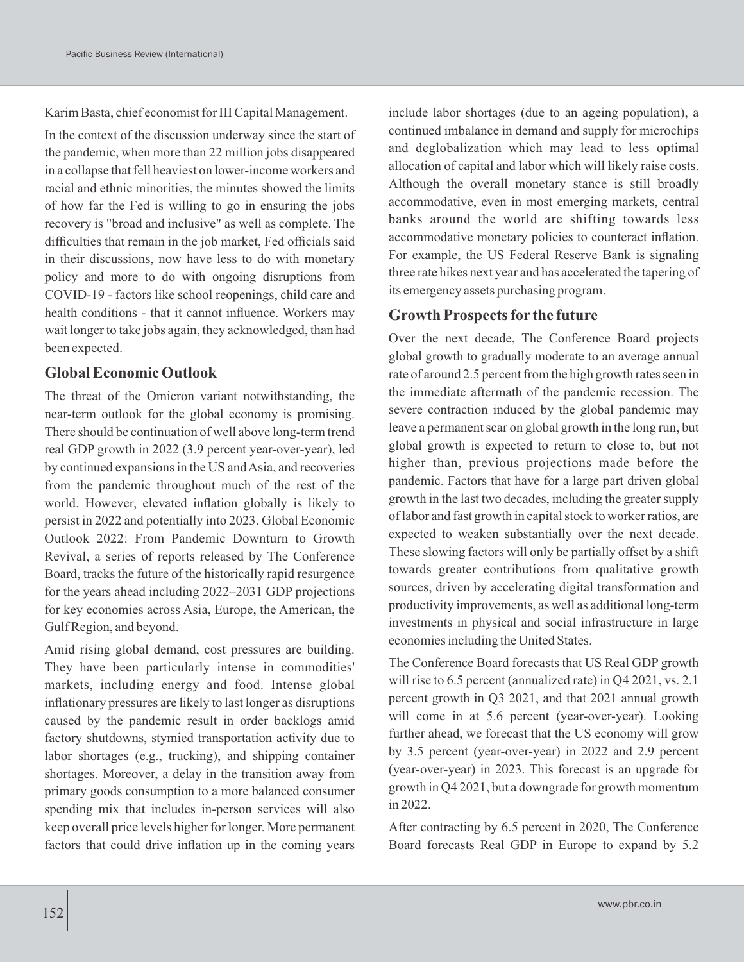Karim Basta, chief economist for III Capital Management.

In the context of the discussion underway since the start of the pandemic, when more than 22 million jobs disappeared in a collapse that fell heaviest on lower-income workers and racial and ethnic minorities, the minutes showed the limits of how far the Fed is willing to go in ensuring the jobs recovery is "broad and inclusive" as well as complete. The difficulties that remain in the job market, Fed officials said in their discussions, now have less to do with monetary policy and more to do with ongoing disruptions from COVID-19 - factors like school reopenings, child care and health conditions - that it cannot influence. Workers may wait longer to take jobs again, they acknowledged, than had been expected.

#### **Global Economic Outlook**

The threat of the Omicron variant notwithstanding, the near-term outlook for the global economy is promising. There should be continuation of well above long-term trend real GDP growth in 2022 (3.9 percent year-over-year), led by continued expansions in the US and Asia, and recoveries from the pandemic throughout much of the rest of the world. However, elevated inflation globally is likely to persist in 2022 and potentially into 2023. Global Economic Outlook 2022: From Pandemic Downturn to Growth Revival, a series of reports released by The Conference Board, tracks the future of the historically rapid resurgence for the years ahead including 2022–2031 GDP projections for key economies across Asia, Europe, the American, the Gulf Region, and beyond.

Amid rising global demand, cost pressures are building. They have been particularly intense in commodities' markets, including energy and food. Intense global inflationary pressures are likely to last longer as disruptions caused by the pandemic result in order backlogs amid factory shutdowns, stymied transportation activity due to labor shortages (e.g., trucking), and shipping container shortages. Moreover, a delay in the transition away from primary goods consumption to a more balanced consumer spending mix that includes in-person services will also keep overall price levels higher for longer. More permanent factors that could drive inflation up in the coming years include labor shortages (due to an ageing population), a continued imbalance in demand and supply for microchips and deglobalization which may lead to less optimal allocation of capital and labor which will likely raise costs. Although the overall monetary stance is still broadly accommodative, even in most emerging markets, central banks around the world are shifting towards less accommodative monetary policies to counteract inflation. For example, the US Federal Reserve Bank is signaling three rate hikes next year and has accelerated the tapering of its emergency assets purchasing program.

### **Growth Prospects for the future**

Over the next decade, The Conference Board projects global growth to gradually moderate to an average annual rate of around 2.5 percent from the high growth rates seen in the immediate aftermath of the pandemic recession. The severe contraction induced by the global pandemic may leave a permanent scar on global growth in the long run, but global growth is expected to return to close to, but not higher than, previous projections made before the pandemic. Factors that have for a large part driven global growth in the last two decades, including the greater supply of labor and fast growth in capital stock to worker ratios, are expected to weaken substantially over the next decade. These slowing factors will only be partially offset by a shift towards greater contributions from qualitative growth sources, driven by accelerating digital transformation and productivity improvements, as well as additional long-term investments in physical and social infrastructure in large economies including the United States.

The Conference Board forecasts that US Real GDP growth will rise to 6.5 percent (annualized rate) in Q4 2021, vs. 2.1 percent growth in Q3 2021, and that 2021 annual growth will come in at 5.6 percent (year-over-year). Looking further ahead, we forecast that the US economy will grow by 3.5 percent (year-over-year) in 2022 and 2.9 percent (year-over-year) in 2023. This forecast is an upgrade for growth in Q4 2021, but a downgrade for growth momentum in 2022.

After contracting by 6.5 percent in 2020, The Conference Board forecasts Real GDP in Europe to expand by 5.2